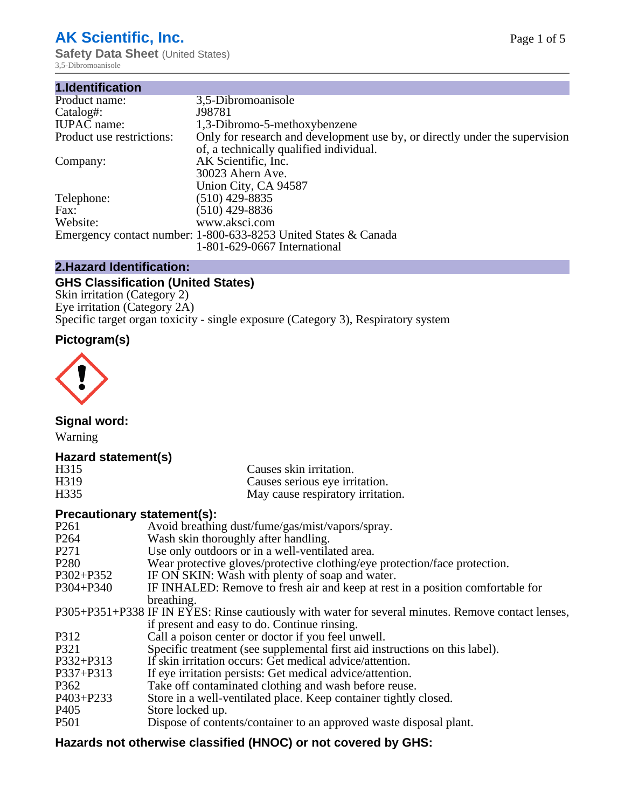# **AK Scientific, Inc.**

**Safety Data Sheet (United States)** 3,5-Dibromoanisole

| 3,5-Dibromoanisole                                                                                                     |
|------------------------------------------------------------------------------------------------------------------------|
| J98781                                                                                                                 |
| 1,3-Dibromo-5-methoxybenzene                                                                                           |
| Only for research and development use by, or directly under the supervision<br>of, a technically qualified individual. |
| AK Scientific, Inc.                                                                                                    |
| 30023 Ahern Ave.                                                                                                       |
| Union City, CA 94587                                                                                                   |
| $(510)$ 429-8835                                                                                                       |
| $(510)$ 429-8836                                                                                                       |
| www.aksci.com                                                                                                          |
| Emergency contact number: 1-800-633-8253 United States & Canada                                                        |
| 1-801-629-0667 International                                                                                           |
|                                                                                                                        |

# **2.Hazard Identification:**

# **GHS Classification (United States)**

Skin irritation (Category 2) Eye irritation (Category 2A) Specific target organ toxicity - single exposure (Category 3), Respiratory system

# **Pictogram(s)**



**Signal word:**

Warning

## **Hazard statement(s)**

| H315 | Causes skin irritation.           |
|------|-----------------------------------|
| H319 | Causes serious eye irritation.    |
| H335 | May cause respiratory irritation. |

## **Precautionary statement(s):**

| P <sub>261</sub> | Avoid breathing dust/fume/gas/mist/vapors/spray.                                                   |
|------------------|----------------------------------------------------------------------------------------------------|
| P <sub>264</sub> | Wash skin thoroughly after handling.                                                               |
| P <sub>271</sub> | Use only outdoors or in a well-ventilated area.                                                    |
| P <sub>280</sub> | Wear protective gloves/protective clothing/eye protection/face protection.                         |
| P302+P352        | IF ON SKIN: Wash with plenty of soap and water.                                                    |
| $P304 + P340$    | IF INHALED: Remove to fresh air and keep at rest in a position comfortable for                     |
|                  | breathing.                                                                                         |
|                  | P305+P351+P338 IF IN EYES: Rinse cautiously with water for several minutes. Remove contact lenses, |
|                  | if present and easy to do. Continue rinsing.                                                       |
| P312             | Call a poison center or doctor if you feel unwell.                                                 |
| P321             | Specific treatment (see supplemental first aid instructions on this label).                        |
| P332+P313        | If skin irritation occurs: Get medical advice/attention.                                           |
| P337+P313        | If eye irritation persists: Get medical advice/attention.                                          |
| P362             | Take off contaminated clothing and wash before reuse.                                              |
| $P403 + P233$    | Store in a well-ventilated place. Keep container tightly closed.                                   |
| P <sub>405</sub> | Store locked up.                                                                                   |
| P <sub>501</sub> | Dispose of contents/container to an approved waste disposal plant.                                 |
|                  |                                                                                                    |

# **Hazards not otherwise classified (HNOC) or not covered by GHS:**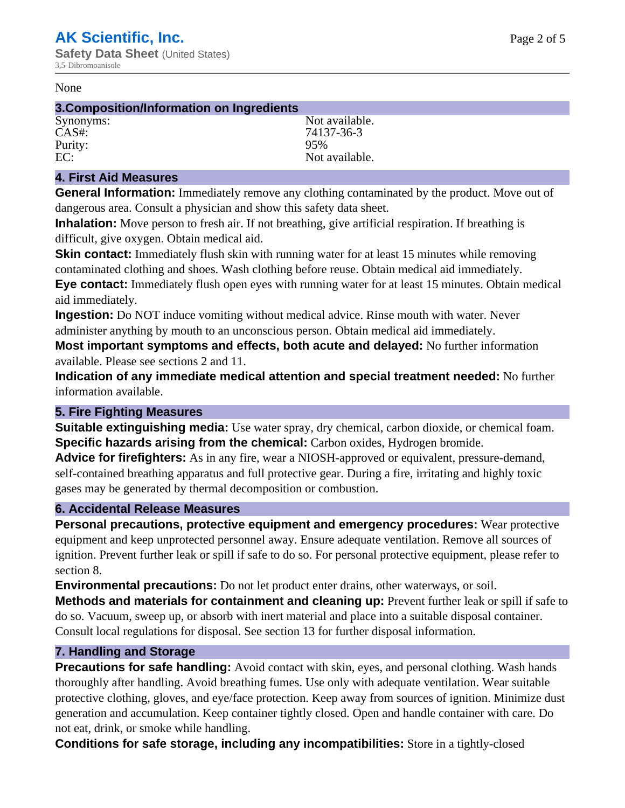#### None

#### **3.Composition/Information on Ingredients**

Purity: 95%

Synonyms: Not available. CAS#: 74137-36-3 EC: Not available.

## **4. First Aid Measures**

**General Information:** Immediately remove any clothing contaminated by the product. Move out of dangerous area. Consult a physician and show this safety data sheet.

**Inhalation:** Move person to fresh air. If not breathing, give artificial respiration. If breathing is difficult, give oxygen. Obtain medical aid.

**Skin contact:** Immediately flush skin with running water for at least 15 minutes while removing contaminated clothing and shoes. Wash clothing before reuse. Obtain medical aid immediately. **Eye contact:** Immediately flush open eyes with running water for at least 15 minutes. Obtain medical aid immediately.

**Ingestion:** Do NOT induce vomiting without medical advice. Rinse mouth with water. Never administer anything by mouth to an unconscious person. Obtain medical aid immediately.

**Most important symptoms and effects, both acute and delayed:** No further information available. Please see sections 2 and 11.

**Indication of any immediate medical attention and special treatment needed:** No further information available.

## **5. Fire Fighting Measures**

**Suitable extinguishing media:** Use water spray, dry chemical, carbon dioxide, or chemical foam. **Specific hazards arising from the chemical:** Carbon oxides, Hydrogen bromide.

**Advice for firefighters:** As in any fire, wear a NIOSH-approved or equivalent, pressure-demand, self-contained breathing apparatus and full protective gear. During a fire, irritating and highly toxic gases may be generated by thermal decomposition or combustion.

## **6. Accidental Release Measures**

**Personal precautions, protective equipment and emergency procedures:** Wear protective equipment and keep unprotected personnel away. Ensure adequate ventilation. Remove all sources of ignition. Prevent further leak or spill if safe to do so. For personal protective equipment, please refer to section 8.

**Environmental precautions:** Do not let product enter drains, other waterways, or soil.

**Methods and materials for containment and cleaning up:** Prevent further leak or spill if safe to do so. Vacuum, sweep up, or absorb with inert material and place into a suitable disposal container. Consult local regulations for disposal. See section 13 for further disposal information.

## **7. Handling and Storage**

**Precautions for safe handling:** Avoid contact with skin, eyes, and personal clothing. Wash hands thoroughly after handling. Avoid breathing fumes. Use only with adequate ventilation. Wear suitable protective clothing, gloves, and eye/face protection. Keep away from sources of ignition. Minimize dust generation and accumulation. Keep container tightly closed. Open and handle container with care. Do not eat, drink, or smoke while handling.

**Conditions for safe storage, including any incompatibilities:** Store in a tightly-closed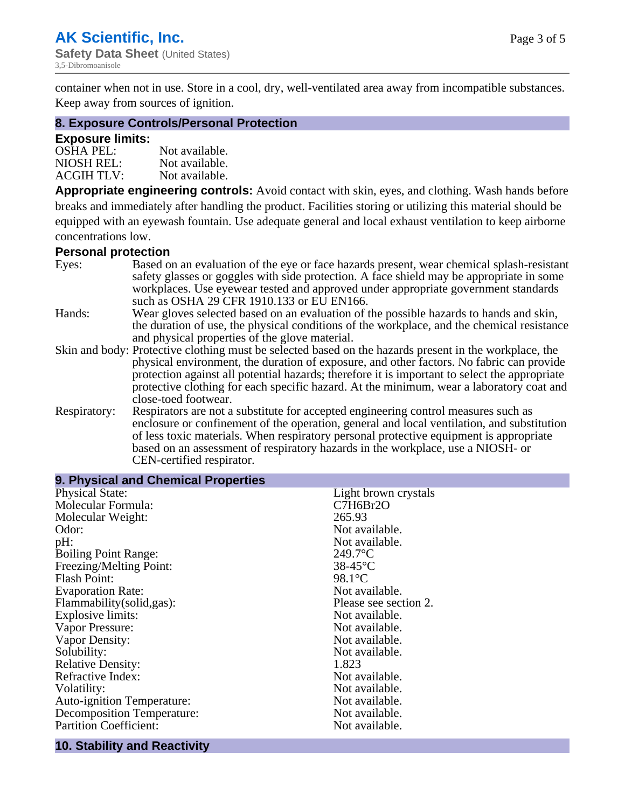container when not in use. Store in a cool, dry, well-ventilated area away from incompatible substances. Keep away from sources of ignition.

#### **8. Exposure Controls/Personal Protection**

#### **Exposure limits:**

| <b>OSHA PEL:</b>  | Not available. |
|-------------------|----------------|
| NIOSH REL:        | Not available. |
| <b>ACGIH TLV:</b> | Not available. |

**Appropriate engineering controls:** Avoid contact with skin, eyes, and clothing. Wash hands before breaks and immediately after handling the product. Facilities storing or utilizing this material should be equipped with an eyewash fountain. Use adequate general and local exhaust ventilation to keep airborne concentrations low.

#### **Personal protection**

| Eyes:        | Based on an evaluation of the eye or face hazards present, wear chemical splash-resistant<br>safety glasses or goggles with side protection. A face shield may be appropriate in some                                                                                      |
|--------------|----------------------------------------------------------------------------------------------------------------------------------------------------------------------------------------------------------------------------------------------------------------------------|
|              | workplaces. Use eyewear tested and approved under appropriate government standards<br>such as OSHA 29 CFR 1910.133 or EU EN166.                                                                                                                                            |
| Hands:       | Wear gloves selected based on an evaluation of the possible hazards to hands and skin,                                                                                                                                                                                     |
|              | the duration of use, the physical conditions of the workplace, and the chemical resistance<br>and physical properties of the glove material.                                                                                                                               |
|              | Skin and body: Protective clothing must be selected based on the hazards present in the workplace, the                                                                                                                                                                     |
|              | physical environment, the duration of exposure, and other factors. No fabric can provide<br>protection against all potential hazards; therefore it is important to select the appropriate                                                                                  |
|              | protective clothing for each specific hazard. At the minimum, wear a laboratory coat and<br>close-toed footwear.                                                                                                                                                           |
| Respiratory: | Respirators are not a substitute for accepted engineering control measures such as<br>enclosure or confinement of the operation, general and local ventilation, and substitution<br>of less toxic materials. When respiratory personal protective equipment is appropriate |
|              | based on an assessment of respiratory hazards in the workplace, use a NIOSH- or                                                                                                                                                                                            |
|              | CEN-certified respirator.                                                                                                                                                                                                                                                  |

| 9. Physical and Chemical Properties |                       |
|-------------------------------------|-----------------------|
| <b>Physical State:</b>              | Light brown crystals  |
| Molecular Formula:                  | C7H6Br2O              |
| Molecular Weight:                   | 265.93                |
| Odor:                               | Not available.        |
| pH:                                 | Not available.        |
| <b>Boiling Point Range:</b>         | $249.7$ °C            |
| Freezing/Melting Point:             | $38-45$ °C            |
| <b>Flash Point:</b>                 | $98.1^{\circ}$ C      |
| <b>Evaporation Rate:</b>            | Not available.        |
| Flammability(solid,gas):            | Please see section 2. |
| <b>Explosive limits:</b>            | Not available.        |
| Vapor Pressure:                     | Not available.        |
| Vapor Density:                      | Not available.        |
| Solubility:                         | Not available.        |
| <b>Relative Density:</b>            | 1.823                 |
| Refractive Index:                   | Not available.        |
| Volatility:                         | Not available.        |
| <b>Auto-ignition Temperature:</b>   | Not available.        |
| <b>Decomposition Temperature:</b>   | Not available.        |
| <b>Partition Coefficient:</b>       | Not available.        |

#### **10. Stability and Reactivity**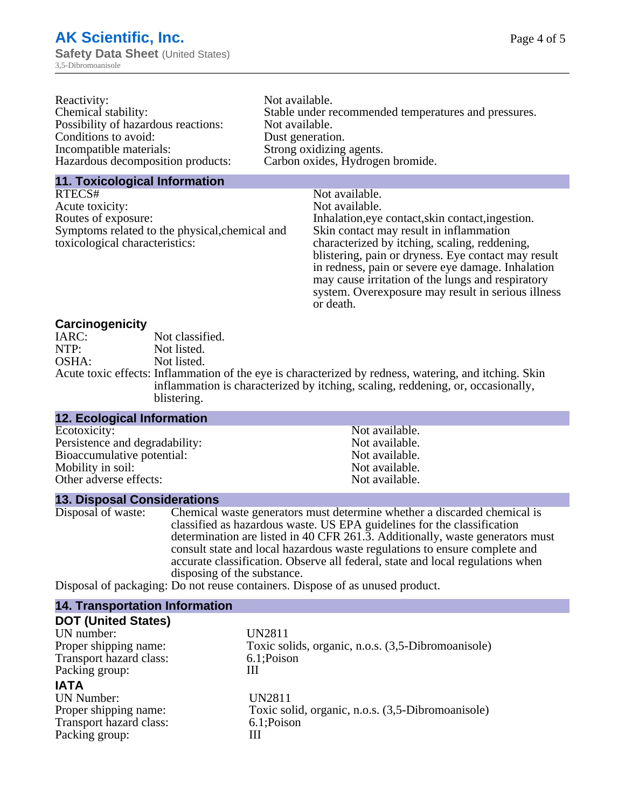| Reactivity:                         | Not available.                                       |
|-------------------------------------|------------------------------------------------------|
| Chemical stability:                 | Stable under recommended temperatures and pressures. |
| Possibility of hazardous reactions: | Not available.                                       |
| Conditions to avoid:                | Dust generation.                                     |
| Incompatible materials:             | Strong oxidizing agents.                             |
| Hazardous decomposition products:   | Carbon oxides, Hydrogen bromide.                     |
|                                     |                                                      |

# **11. Toxicological Information**

| RTECS#                                         | Not available.                                      |
|------------------------------------------------|-----------------------------------------------------|
| Acute toxicity:                                | Not available.                                      |
| Routes of exposure:                            | Inhalation, eye contact, skin contact, ingestion.   |
| Symptoms related to the physical, chemical and | Skin contact may result in inflammation             |
| toxicological characteristics:                 | characterized by itching, scaling, reddening,       |
|                                                | blistering, pain or dryness. Eye contact may result |
|                                                | in redness, pain or severe eye damage. Inhalation   |
|                                                | may cause irritation of the lungs and respiratory   |
|                                                | system. Overexposure may result in serious illness  |

or death.

# **Carcinogenicity**

| IARC: | Not classified.                                                                                       |
|-------|-------------------------------------------------------------------------------------------------------|
| NTP:  | Not listed.                                                                                           |
| OSHA: | Not listed.                                                                                           |
|       | Acute toxic effects: Inflammation of the eye is characterized by redness, watering, and itching. Skin |
|       | inflammation is characterized by itching, scaling, reddening, or, occasionally,                       |
|       | blistering.                                                                                           |

| <b>12. Ecological Information</b> |                |  |
|-----------------------------------|----------------|--|
| Ecotoxicity:                      | Not available. |  |
| Persistence and degradability:    | Not available. |  |
| Bioaccumulative potential:        | Not available. |  |
| Mobility in soil:                 | Not available. |  |
| Other adverse effects:            | Not available. |  |

## **13. Disposal Considerations**

| Disposal of waste: | Chemical waste generators must determine whether a discarded chemical is       |
|--------------------|--------------------------------------------------------------------------------|
|                    | classified as hazardous waste. US EPA guidelines for the classification        |
|                    | determination are listed in 40 CFR 261.3. Additionally, waste generators must  |
|                    | consult state and local hazardous waste regulations to ensure complete and     |
|                    | accurate classification. Observe all federal, state and local regulations when |
|                    | disposing of the substance.                                                    |
|                    | Dignacol of negligating: Do not rouge containers. Dignaco of as unused nugduat |

Disposal of packaging: Do not reuse containers. Dispose of as unused product.

| <b>14. Transportation Information</b> |                                                    |
|---------------------------------------|----------------------------------------------------|
| <b>DOT (United States)</b>            |                                                    |
| UN number:                            | UN2811                                             |
| Proper shipping name:                 | Toxic solids, organic, n.o.s. (3,5-Dibromoanisole) |
| Transport hazard class:               | 6.1;Poison                                         |
| Packing group:                        | Ш                                                  |
| <b>IATA</b>                           |                                                    |
| <b>UN Number:</b>                     | <b>UN2811</b>                                      |
| Proper shipping name:                 | Toxic solid, organic, n.o.s. (3,5-Dibromoanisole)  |
| Transport hazard class:               | 6.1;Poison                                         |
| Packing group:                        | Ш                                                  |
|                                       |                                                    |